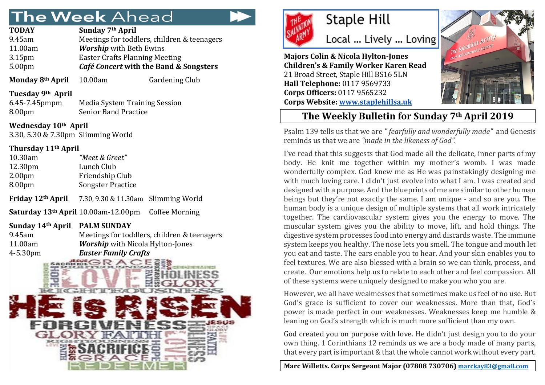# The Week Ahead

| <b>TODAY</b>       | Sunday 7 <sup>th</sup> April                |
|--------------------|---------------------------------------------|
| 9.45am             | Meetings for toddlers, children & teenagers |
| 11.00am            | <b>Worship</b> with Beth Ewins              |
| 3.15 <sub>pm</sub> | <b>Easter Crafts Planning Meeting</b>       |
| 5.00 <sub>pm</sub> | Café Concert with the Band & Songsters      |
|                    |                                             |

**Monday 8<sup>th</sup> April** 10.00am Gardening Club

**Tuesday 9th April**

6.45-7.45pmpm Media System Training Session 8.00pm Senior Band Practice

**Wednesday 10th April** 3.30, 5.30 & 7.30pm Slimming World

#### **Thursday 11th April**

| 10.30am             | "Meet & Greet"           |
|---------------------|--------------------------|
| 12.30 <sub>pm</sub> | Lunch Club               |
| 2.00 <sub>pm</sub>  | Friendship Club          |
| 8.00 <sub>pm</sub>  | <b>Songster Practice</b> |
|                     |                          |

**Friday 12th April** 7.30, 9.30 & 11.30am Slimming World

**Saturday 13th April** 10.00am-12.00pm Coffee Morning

#### **Sunday 14th April PALM SUNDAY**

| Meetings for toddlers, children & teenagers |
|---------------------------------------------|
| <b>Worship</b> with Nicola Hylton-Jones     |
| <b>Easter Family Crafts</b>                 |
|                                             |





## **Staple Hill**

Local ... Lively ... Loving

**Majors Colin & Nicola Hylton-Jones Children's & Family Worker Karen Read** 21 Broad Street, Staple Hill BS16 5LN **Hall Telephone:** 0117 9569733 **Corps Officers:** 0117 9565232 **Corps Website: [www.staplehillsa.uk](http://www.staplehillsa.uk/)**



### **The Weekly Bulletin for Sunday 7th April 2019**

Psalm 139 tells us that we are *" fearfully and wonderfully made"* and Genesis reminds us that we are *"made in the likeness of God".*

I've read that this suggests that God made all the delicate, inner parts of my body. He knit me together within my mother's womb. I was made wonderfully complex. God knew me as He was painstakingly designing me with much loving care. I didn't just evolve into what I am. I was created and designed with a purpose. And the blueprints of me are similar to other human beings but they're not exactly the same. I am unique - and so are you. The human body is a unique design of multiple systems that all work intricately together. The cardiovascular system gives you the energy to move. The muscular system gives you the ability to move, lift, and hold things. The digestive system processes food into energy and discards waste. The immune system keeps you healthy. The nose lets you smell. The tongue and mouth let you eat and taste. The ears enable you to hear. And your skin enables you to feel textures. We are also blessed with a brain so we can think, process, and create. Our emotions help us to relate to each other and feel compassion. All of these systems were uniquely designed to make you who you are.

However, we all have weaknesses that sometimes make us feel of no use. But God's grace is sufficient to cover our weaknesses. More than that, God's power is made perfect in our weaknesses. Weaknesses keep me humble & leaning on God's strength which is much more sufficient than my own.

God created you on purpose with love. He didn't just design you to do your own thing. 1 Corinthians 12 reminds us we are a body made of many parts, that every part is important & that the whole cannot work without every part.

**Marc Willetts. Corps Sergeant Major (07808 730706) [marckay83@gmail.com](mailto:marckay83@gmail.com)**